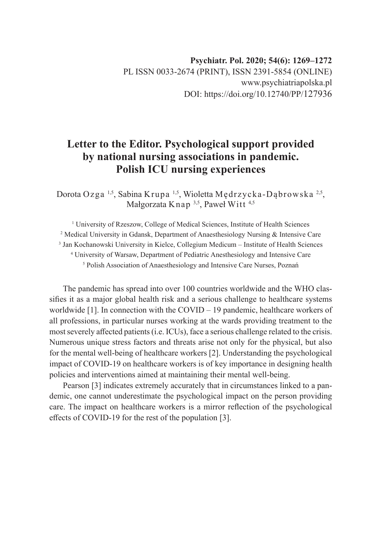# **Letter to the Editor. Psychological support provided by national nursing associations in pandemic. Polish ICU nursing experiences**

Dorota Ozga 1,5, Sabina Krupa 1,5, Wioletta Mędrzycka-Dąbrowska 2,5, Małgorzata Knap 3,5, Paweł Witt 4,5

<sup>1</sup> University of Rzeszow, College of Medical Sciences, Institute of Health Sciences Medical University in Gdansk, Department of Anaesthesiology Nursing & Intensive Care Jan Kochanowski University in Kielce, Collegium Medicum – Institute of Health Sciences University of Warsaw, Department of Pediatric Anesthesiology and Intensive Care Polish Association of Anaesthesiology and Intensive Care Nurses, Poznań

The pandemic has spread into over 100 countries worldwide and the WHO classifies it as a major global health risk and a serious challenge to healthcare systems worldwide [1]. In connection with the COVID – 19 pandemic, healthcare workers of all professions, in particular nurses working at the wards providing treatment to the most severely affected patients (i.e. ICUs), face a serious challenge related to the crisis. Numerous unique stress factors and threats arise not only for the physical, but also for the mental well-being of healthcare workers [2]. Understanding the psychological impact of COVID-19 on healthcare workers is of key importance in designing health policies and interventions aimed at maintaining their mental well-being.

Pearson [3] indicates extremely accurately that in circumstances linked to a pandemic, one cannot underestimate the psychological impact on the person providing care. The impact on healthcare workers is a mirror reflection of the psychological effects of COVID-19 for the rest of the population [3].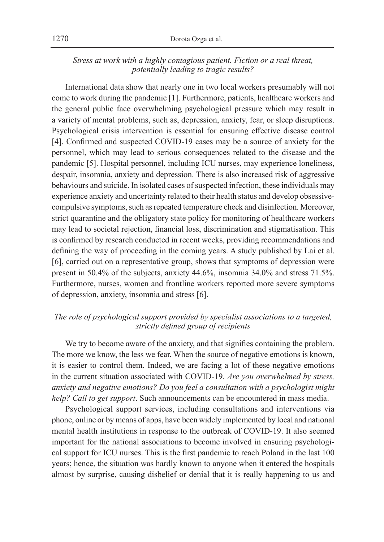## *Stress at work with a highly contagious patient. Fiction or a real threat, potentially leading to tragic results?*

International data show that nearly one in two local workers presumably will not come to work during the pandemic [1]. Furthermore, patients, healthcare workers and the general public face overwhelming psychological pressure which may result in a variety of mental problems, such as, depression, anxiety, fear, or sleep disruptions. Psychological crisis intervention is essential for ensuring effective disease control [4]. Confirmed and suspected COVID-19 cases may be a source of anxiety for the personnel, which may lead to serious consequences related to the disease and the pandemic [5]. Hospital personnel, including ICU nurses, may experience loneliness, despair, insomnia, anxiety and depression. There is also increased risk of aggressive behaviours and suicide. In isolated cases of suspected infection, these individuals may experience anxiety and uncertainty related to their health status and develop obsessivecompulsive symptoms, such as repeated temperature check and disinfection. Moreover, strict quarantine and the obligatory state policy for monitoring of healthcare workers may lead to societal rejection, financial loss, discrimination and stigmatisation. This is confirmed by research conducted in recent weeks, providing recommendations and defining the way of proceeding in the coming years. A study published by Lai et al. [6], carried out on a representative group, shows that symptoms of depression were present in 50.4% of the subjects, anxiety 44.6%, insomnia 34.0% and stress 71.5%. Furthermore, nurses, women and frontline workers reported more severe symptoms of depression, anxiety, insomnia and stress [6].

## *The role of psychological support provided by specialist associations to a targeted, strictly defined group of recipients*

We try to become aware of the anxiety, and that signifies containing the problem. The more we know, the less we fear. When the source of negative emotions is known, it is easier to control them. Indeed, we are facing a lot of these negative emotions in the current situation associated with COVID-19. *Are you overwhelmed by stress, anxiety and negative emotions? Do you feel a consultation with a psychologist might help? Call to get support*. Such announcements can be encountered in mass media.

Psychological support services, including consultations and interventions via phone, online or by means of apps, have been widely implemented by local and national mental health institutions in response to the outbreak of COVID-19. It also seemed important for the national associations to become involved in ensuring psychological support for ICU nurses. This is the first pandemic to reach Poland in the last 100 years; hence, the situation was hardly known to anyone when it entered the hospitals almost by surprise, causing disbelief or denial that it is really happening to us and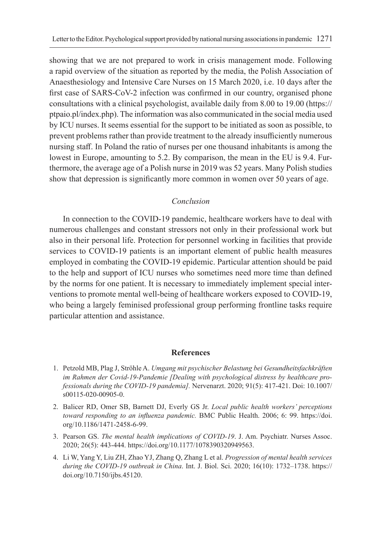showing that we are not prepared to work in crisis management mode. Following a rapid overview of the situation as reported by the media, the Polish Association of Anaesthesiology and Intensive Care Nurses on 15 March 2020, i.e. 10 days after the first case of SARS-CoV-2 infection was confirmed in our country, organised phone consultations with a clinical psychologist, available daily from 8.00 to 19.00 (https:// ptpaio.pl/index.php). The information was also communicated in the social media used by ICU nurses. It seems essential for the support to be initiated as soon as possible, to prevent problems rather than provide treatment to the already insufficiently numerous nursing staff. In Poland the ratio of nurses per one thousand inhabitants is among the lowest in Europe, amounting to 5.2. By comparison, the mean in the EU is 9.4. Furthermore, the average age of a Polish nurse in 2019 was 52 years. Many Polish studies show that depression is significantly more common in women over 50 years of age.

#### *Conclusion*

In connection to the COVID-19 pandemic, healthcare workers have to deal with numerous challenges and constant stressors not only in their professional work but also in their personal life. Protection for personnel working in facilities that provide services to COVID-19 patients is an important element of public health measures employed in combating the COVID-19 epidemic. Particular attention should be paid to the help and support of ICU nurses who sometimes need more time than defined by the norms for one patient. It is necessary to immediately implement special interventions to promote mental well-being of healthcare workers exposed to COVID-19, who being a largely feminised professional group performing frontline tasks require particular attention and assistance.

#### **References**

- 1. Petzold MB, Plag J, Ströhle A. *Umgang mit psychischer Belastung bei Gesundheitsfachkräften im Rahmen der Covid-19-Pandemie [Dealing with psychological distress by healthcare professionals during the COVID-19 pandemia].* Nervenarzt. 2020; 91(5): 417‐421. Doi: 10.1007/ s00115-020-00905-0.
- 2. Balicer RD, Omer SB, Barnett DJ, Everly GS Jr. *Local public health workers' perceptions toward responding to an influenza pandemic.* BMC Public Health. 2006; 6: 99. https://doi. org/10.1186/1471-2458-6-99.
- 3. Pearson GS. *The mental health implications of COVID-19*. J. Am. Psychiatr. Nurses Assoc. 2020; 26(5): 443-444. https://doi.org/10.1177/1078390320949563.
- 4. Li W, Yang Y, Liu ZH, Zhao YJ, Zhang Q, Zhang L et al. *Progression of mental health services during the COVID-19 outbreak in China*. Int. J. Biol. Sci. 2020; 16(10): 1732–1738. https:// doi.org/10.7150/ijbs.45120.